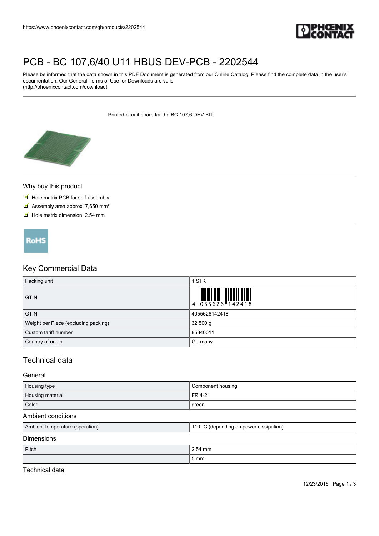

# [PCB - BC 107,6/40 U11 HBUS DEV-PCB - 2202544](https://www.phoenixcontact.com/gb/products/2202544)

Please be informed that the data shown in this PDF Document is generated from our Online Catalog. Please find the complete data in the user's documentation. Our General Terms of Use for Downloads are valid (http://phoenixcontact.com/download)

Printed-circuit board for the BC 107,6 DEV-KIT



### Why buy this product

- $\blacksquare$  Hole matrix PCB for self-assembly
- $\blacksquare$  Assembly area approx. 7,650 mm<sup>2</sup>
- $\blacksquare$  Hole matrix dimension: 2.54 mm



## Key Commercial Data

| Packing unit                         | <b>STK</b>    |
|--------------------------------------|---------------|
| <b>GTIN</b>                          |               |
| <b>GTIN</b>                          | 4055626142418 |
| Weight per Piece (excluding packing) | $32.500$ g    |
| Custom tariff number                 | 85340011      |
| Country of origin                    | Germany       |

## Technical data

#### General

| Housing type     | Component housing |
|------------------|-------------------|
| Housing material | FR 4-21           |
| Color            | green             |

#### Ambient conditions

| Ambient temperature (operation) | C (depending on power dissipation) |
|---------------------------------|------------------------------------|
| ____                            |                                    |

## **Dimensions**

| Pitch | 2.54 mm   |
|-------|-----------|
|       | -<br>5 mm |

Technical data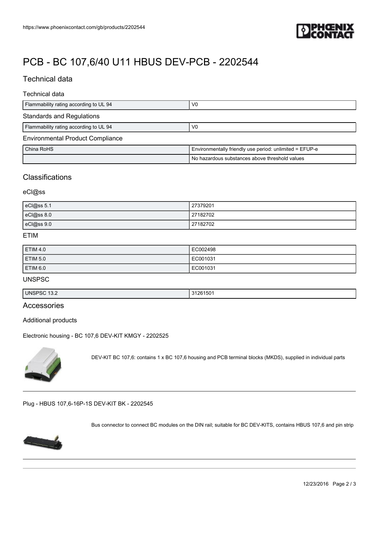

## [PCB - BC 107,6/40 U11 HBUS DEV-PCB - 2202544](https://www.phoenixcontact.com/gb/products/2202544)

## Technical data

## Technical data

| Flammability rating according to UL 94  | V <sub>0</sub>                                          |
|-----------------------------------------|---------------------------------------------------------|
| <b>Standards and Regulations</b>        |                                                         |
| Flammability rating according to UL 94  | V <sub>0</sub>                                          |
| <b>Environmental Product Compliance</b> |                                                         |
| China RoHS                              | Environmentally friendly use period: unlimited = EFUP-e |
|                                         | No hazardous substances above threshold values          |

## **Classifications**

### eCl@ss

| eCl@ss 5.1 | 27379201 |
|------------|----------|
| eCl@ss 8.0 | 27182702 |
| eCl@ss 9.0 | 27182702 |

#### ETIM

| <b>ETIM 4.0</b> | EC002498 |
|-----------------|----------|
| ETIM 5.0        | EC001031 |
| ETIM 6.0        | EC001031 |

#### UNSPSC

| <b>UNS</b>    | റല     |
|---------------|--------|
| ∽ວບ           | ,,,    |
| ⊶.            | 5U     |
| $\sim$ 1 J.Z. | ______ |

## Accessories

Additional products

[Electronic housing - BC 107,6 DEV-KIT KMGY - 2202525](https://www.phoenixcontact.com/gb/products/2202525)



DEV-KIT BC 107,6: contains 1 x BC 107,6 housing and PCB terminal blocks (MKDS), supplied in individual parts

[Plug - HBUS 107,6-16P-1S DEV-KIT BK - 2202545](https://www.phoenixcontact.com/gb/products/2202545)

Bus connector to connect BC modules on the DIN rail; suitable for BC DEV-KITS, contains HBUS 107,6 and pin strip



12/23/2016 Page 2 / 3